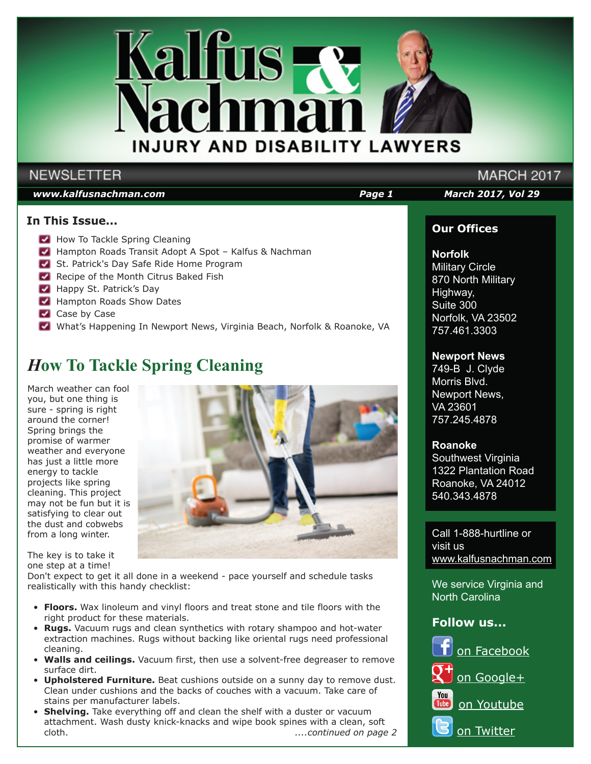

## **NEWSLETTER**

## *www.kalfusnachman.com Page 1 March 2017, Vol 29*

## **In This Issue...**

- How To Tackle Spring Cleaning
- Hampton Roads Transit Adopt A Spot Kalfus & Nachman
- St. Patrick's Day Safe Ride Home Program
- Recipe of the Month Citrus Baked Fish
- Happy St. Patrick's Day
- Hampton Roads Show Dates
- Case by Case
- What's Happening In Newport News, Virginia Beach, Norfolk & Roanoke, VA

# *H***ow To Tackle Spring Cleaning**

March weather can fool you, but one thing is sure - spring is right around the corner! Spring brings the promise of warmer weather and everyone has just a little more energy to tackle projects like spring cleaning. This project may not be fun but it is satisfying to clear out the dust and cobwebs from a long winter.

The key is to take it one step at a time!

Don't expect to get it all done in a weekend - pace yourself and schedule tasks realistically with this handy checklist:

- **Floors.** Wax linoleum and vinyl floors and treat stone and tile floors with the right product for these materials.
- **Rugs.** Vacuum rugs and clean synthetics with rotary shampoo and hot-water extraction machines. Rugs without backing like oriental rugs need professional cleaning.
- **Walls and ceilings.** Vacuum first, then use a solvent-free degreaser to remove surface dirt.
- **Upholstered Furniture.** Beat cushions outside on a sunny day to remove dust. Clean under cushions and the backs of couches with a vacuum. Take care of stains per manufacturer labels.
- **Shelving.** Take everything off and clean the shelf with a duster or vacuum attachment. Wash dusty knick-knacks and wipe book spines with a clean, soft cloth. *....continued on page 2*



## **Our Offices**

**MARCH 2017** 

## **Norfolk**

Military Circle 870 North Military Highway, Suite 300 Norfolk, VA 23502 757.461.3303

## **Newport News**

749-B J. Clyde Morris Blvd. Newport News, VA 23601 757.245.4878

## **Roanoke**

Southwest Virginia 1322 Plantation Road Roanoke, VA 24012 540.343.4878

Call 1-888-hurtline or visit us www.kalfusnachman.com

We service Virginia and North Carolina

## **Follow us...**

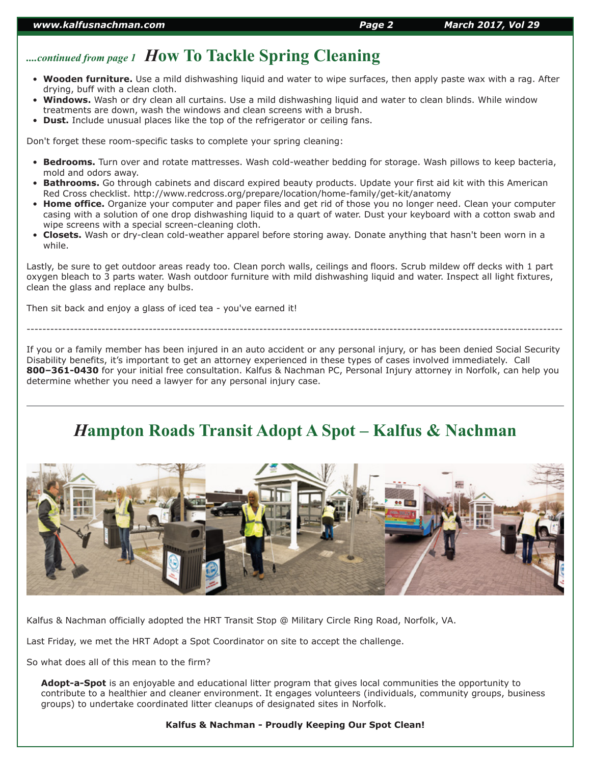# *....continued from page 1 H***ow To Tackle Spring Cleaning**

- **Wooden furniture.** Use a mild dishwashing liquid and water to wipe surfaces, then apply paste wax with a rag. After drying, buff with a clean cloth.
- **Windows.** Wash or dry clean all curtains. Use a mild dishwashing liquid and water to clean blinds. While window treatments are down, wash the windows and clean screens with a brush.
- **Dust.** Include unusual places like the top of the refrigerator or ceiling fans.

Don't forget these room-specific tasks to complete your spring cleaning:

- **Bedrooms.** Turn over and rotate mattresses. Wash cold-weather bedding for storage. Wash pillows to keep bacteria, mold and odors away.
- **Bathrooms.** Go through cabinets and discard expired beauty products. Update your first aid kit with this American Red Cross checklist. http://www.redcross.org/prepare/location/home-family/get-kit/anatomy
- **Home office.** Organize your computer and paper files and get rid of those you no longer need. Clean your computer casing with a solution of one drop dishwashing liquid to a quart of water. Dust your keyboard with a cotton swab and wipe screens with a special screen-cleaning cloth.
- **Closets.** Wash or dry-clean cold-weather apparel before storing away. Donate anything that hasn't been worn in a while.

Lastly, be sure to get outdoor areas ready too. Clean porch walls, ceilings and floors. Scrub mildew off decks with 1 part oxygen bleach to 3 parts water. Wash outdoor furniture with mild dishwashing liquid and water. Inspect all light fixtures, clean the glass and replace any bulbs.

Then sit back and enjoy a glass of iced tea - you've earned it!

If you or a family member has been injured in an auto accident or any personal injury, or has been denied Social Security Disability benefits, it's important to get an attorney experienced in these types of cases involved immediately. Call **800–361-0430** for your initial free consultation. Kalfus & Nachman PC, Personal Injury attorney in Norfolk, can help you determine whether you need a lawyer for any personal injury case.

----------------------------------------------------------------------------------------------------------------------------------------

# *H***ampton Roads Transit Adopt A Spot – Kalfus & Nachman**



Kalfus & Nachman officially adopted the HRT Transit Stop @ Military Circle Ring Road, Norfolk, VA.

Last Friday, we met the HRT Adopt a Spot Coordinator on site to accept the challenge.

So what does all of this mean to the firm?

**Adopt-a-Spot** is an enjoyable and educational litter program that gives local communities the opportunity to contribute to a healthier and cleaner environment. It engages volunteers (individuals, community groups, business groups) to undertake coordinated litter cleanups of designated sites in Norfolk.

### **Kalfus & Nachman - Proudly Keeping Our Spot Clean!**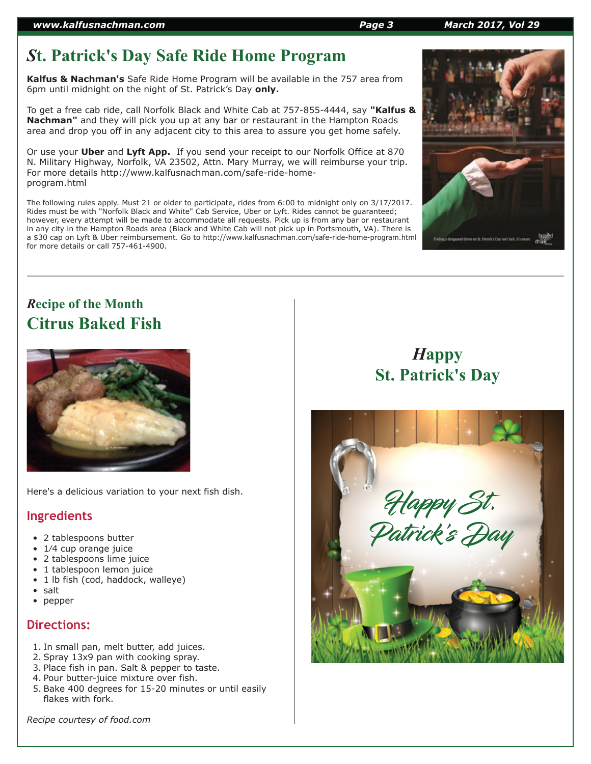# *S***t. Patrick's Day Safe Ride Home Program**

**Kalfus & Nachman's** Safe Ride Home Program will be available in the 757 area from 6pm until midnight on the night of St. Patrick's Day **only.**

To get a free cab ride, call Norfolk Black and White Cab at 757-855-4444, say **"Kalfus & Nachman"** and they will pick you up at any bar or restaurant in the Hampton Roads area and drop you off in any adjacent city to this area to assure you get home safely.

Or use your **Uber** and **Lyft App.** If you send your receipt to our Norfolk Office at 870 N. Military Highway, Norfolk, VA 23502, Attn. Mary Murray, we will reimburse your trip. For more details http://www.kalfusnachman.com/safe-ride-homeprogram.html

The following rules apply. Must 21 or older to participate, rides from 6:00 to midnight only on 3/17/2017. Rides must be with "Norfolk Black and White" Cab Service, Uber or Lyft. Rides cannot be guaranteed; however, every attempt will be made to accommodate all requests. Pick up is from any bar or restaurant in any city in the Hampton Roads area (Black and White Cab will not pick up in Portsmouth, VA). There is a \$30 cap on Lyft & Uber reimbursement. Go to http://www.kalfusnachman.com/safe-ride-home-program.html for more details or call 757-461-4900.

# *R***ecipe of the Month Citrus Baked Fish**



Here's a delicious variation to your next fish dish.

## **Ingredients**

- 2 tablespoons butter
- 1/4 cup orange juice
- 2 tablespoons lime juice
- 1 tablespoon lemon juice
- 1 lb fish (cod, haddock, walleye)
- salt
- pepper

## **Directions:**

- 1. In small pan, melt butter, add juices.
- 2. Spray 13x9 pan with cooking spray.
- 3. Place fish in pan. Salt & pepper to taste.
- 4. Pour butter-juice mixture over fish.
- 5. Bake 400 degrees for 15-20 minutes or until easily flakes with fork.

*Recipe courtesy of food.com*

# *H***appy St. Patrick's Day**